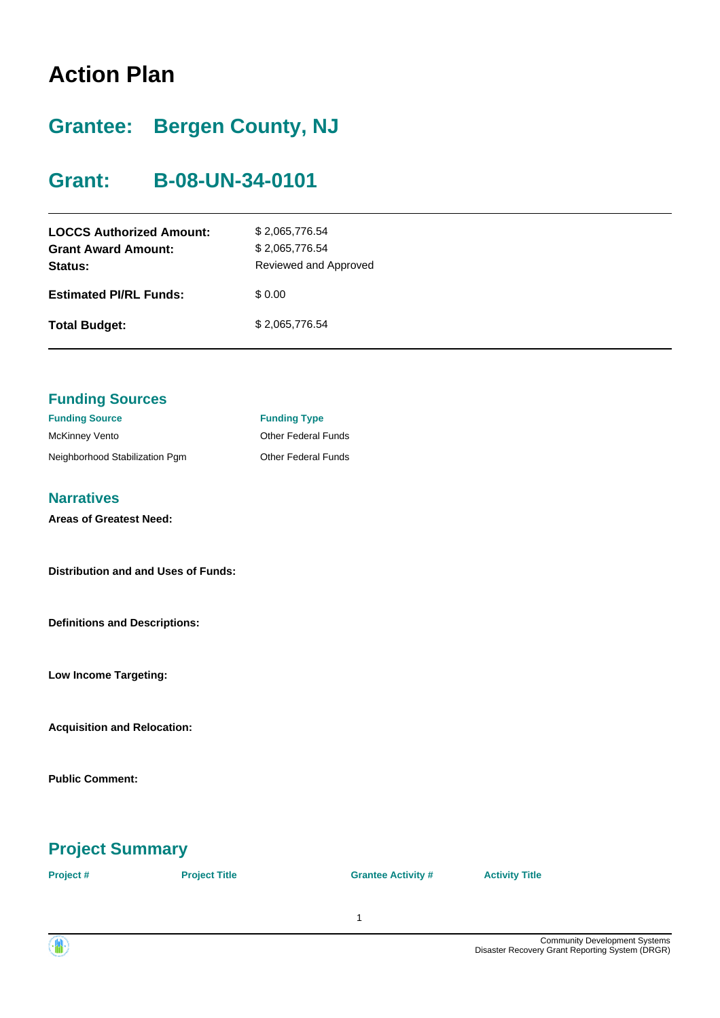## **Action Plan**

## **Grantee: Bergen County, NJ**

## **Grant: B-08-UN-34-0101**

| <b>LOCCS Authorized Amount:</b><br><b>Grant Award Amount:</b><br>Status: | \$2,065,776.54<br>\$2,065,776.54<br>Reviewed and Approved |
|--------------------------------------------------------------------------|-----------------------------------------------------------|
| <b>Estimated PI/RL Funds:</b>                                            | \$0.00                                                    |
| <b>Total Budget:</b>                                                     | \$2,065,776.54                                            |

| <b>Funding Sources</b>                     |                            |
|--------------------------------------------|----------------------------|
| <b>Funding Source</b>                      | <b>Funding Type</b>        |
| <b>McKinney Vento</b>                      | <b>Other Federal Funds</b> |
| Neighborhood Stabilization Pgm             | <b>Other Federal Funds</b> |
|                                            |                            |
| <b>Narratives</b>                          |                            |
| <b>Areas of Greatest Need:</b>             |                            |
|                                            |                            |
| <b>Distribution and and Uses of Funds:</b> |                            |
|                                            |                            |
|                                            |                            |
| <b>Definitions and Descriptions:</b>       |                            |
|                                            |                            |
| <b>Low Income Targeting:</b>               |                            |
|                                            |                            |
|                                            |                            |
| <b>Acquisition and Relocation:</b>         |                            |
|                                            |                            |
| <b>Public Comment:</b>                     |                            |
|                                            |                            |

## **Project Summary**

| Project # | <b>Project Title</b> | <b>Grantee Activity #</b> | <b>Activity Title</b> |
|-----------|----------------------|---------------------------|-----------------------|
|           |                      |                           |                       |

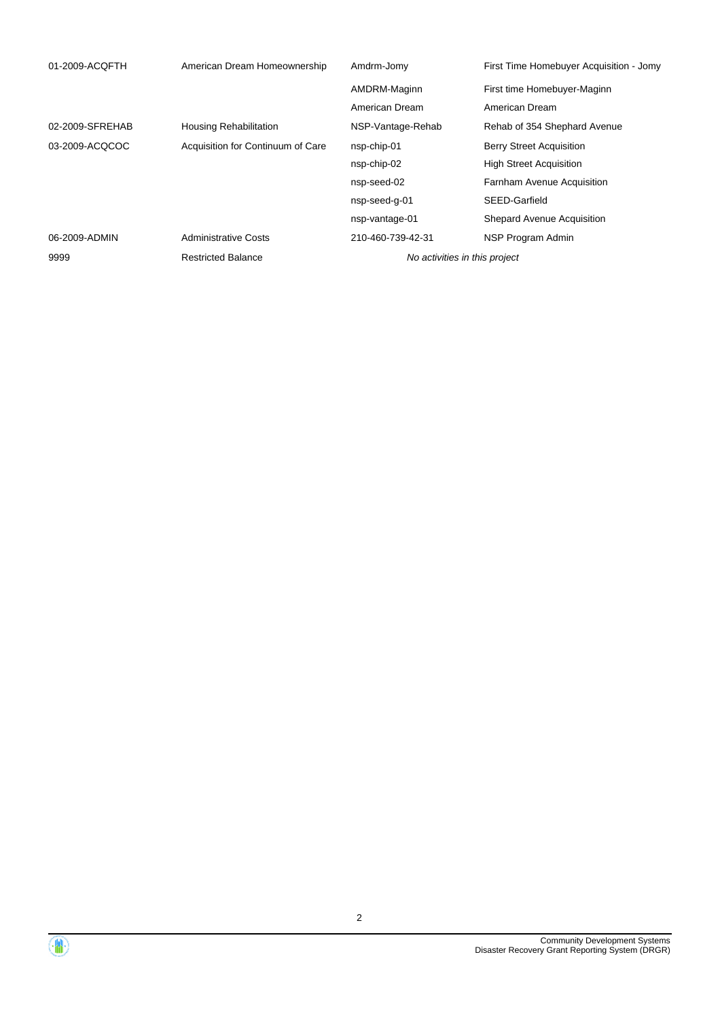| 01-2009-ACQFTH  | American Dream Homeownership      | Amdrm-Jomy                    | First Time Homebuyer Acquisition - Jomy |
|-----------------|-----------------------------------|-------------------------------|-----------------------------------------|
|                 |                                   | AMDRM-Maginn                  | First time Homebuyer-Maginn             |
|                 |                                   | American Dream                | American Dream                          |
| 02-2009-SFREHAB | Housing Rehabilitation            | NSP-Vantage-Rehab             | Rehab of 354 Shephard Avenue            |
| 03-2009-ACQCOC  | Acquisition for Continuum of Care | nsp-chip-01                   | <b>Berry Street Acquisition</b>         |
|                 |                                   | nsp-chip-02                   | <b>High Street Acquisition</b>          |
|                 |                                   | nsp-seed-02                   | <b>Farnham Avenue Acquisition</b>       |
|                 |                                   | nsp-seed-q-01                 | SEED-Garfield                           |
|                 |                                   | nsp-vantage-01                | <b>Shepard Avenue Acquisition</b>       |
| 06-2009-ADMIN   | <b>Administrative Costs</b>       | 210-460-739-42-31             | NSP Program Admin                       |
| 9999            | <b>Restricted Balance</b>         | No activities in this project |                                         |

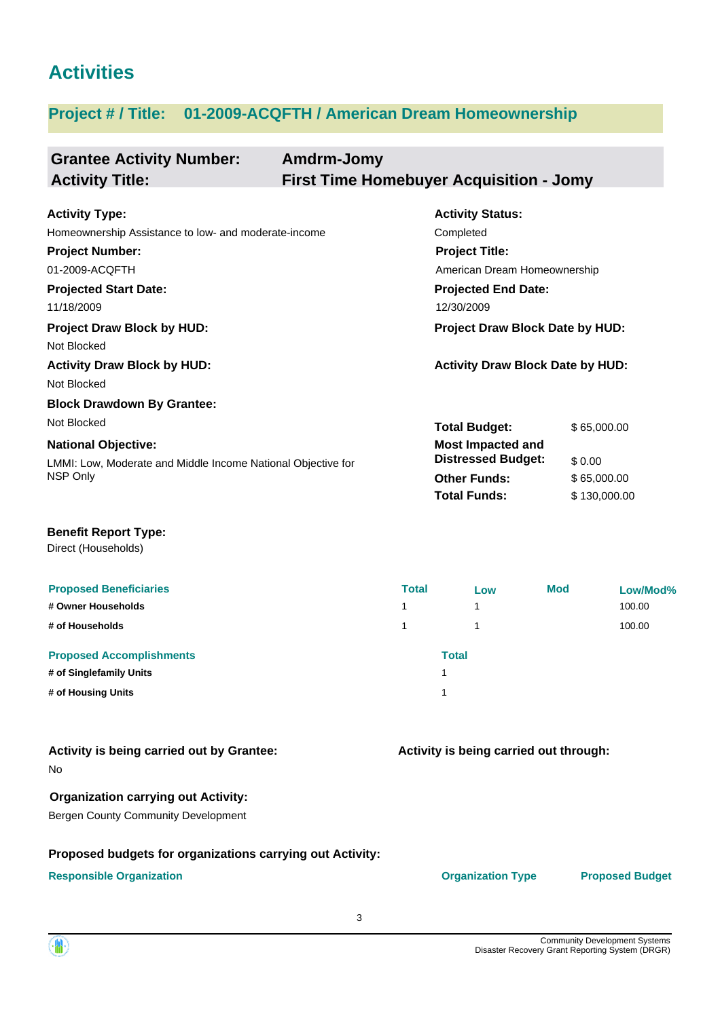## **Activities**

### **Project # / Title: 01-2009-ACQFTH / American Dream Homeownership**

| <b>Grantee Activity Number:</b>                              | Amdrm-Jomy                                     |                                         |              |
|--------------------------------------------------------------|------------------------------------------------|-----------------------------------------|--------------|
| <b>Activity Title:</b>                                       | <b>First Time Homebuyer Acquisition - Jomy</b> |                                         |              |
|                                                              |                                                |                                         |              |
| <b>Activity Type:</b>                                        |                                                | <b>Activity Status:</b>                 |              |
| Homeownership Assistance to low- and moderate-income         |                                                | Completed                               |              |
| <b>Project Number:</b>                                       |                                                | <b>Project Title:</b>                   |              |
| 01-2009-ACQFTH                                               |                                                | American Dream Homeownership            |              |
| <b>Projected Start Date:</b>                                 |                                                | <b>Projected End Date:</b>              |              |
| 11/18/2009                                                   |                                                | 12/30/2009                              |              |
| <b>Project Draw Block by HUD:</b>                            |                                                | Project Draw Block Date by HUD:         |              |
| Not Blocked                                                  |                                                |                                         |              |
| <b>Activity Draw Block by HUD:</b>                           |                                                | <b>Activity Draw Block Date by HUD:</b> |              |
| Not Blocked                                                  |                                                |                                         |              |
| <b>Block Drawdown By Grantee:</b>                            |                                                |                                         |              |
| Not Blocked                                                  |                                                | <b>Total Budget:</b>                    | \$65,000.00  |
| <b>National Objective:</b>                                   |                                                | <b>Most Impacted and</b>                |              |
| LMMI: Low, Moderate and Middle Income National Objective for |                                                | <b>Distressed Budget:</b>               | \$0.00       |
| NSP Only                                                     |                                                | <b>Other Funds:</b>                     | \$65,000.00  |
|                                                              |                                                | <b>Total Funds:</b>                     | \$130,000.00 |
|                                                              |                                                |                                         |              |
| <b>Benefit Report Type:</b>                                  |                                                |                                         |              |
| Direct (Households)                                          |                                                |                                         |              |
|                                                              |                                                |                                         |              |

| <b>Proposed Beneficiaries</b>   | <b>Total</b> | Low          | <b>Mod</b> | Low/Mod% |
|---------------------------------|--------------|--------------|------------|----------|
| # Owner Households              | 1            |              |            | 100.00   |
| # of Households                 | 1.           |              |            | 100.00   |
| <b>Proposed Accomplishments</b> |              | <b>Total</b> |            |          |
| # of Singlefamily Units         |              |              |            |          |
| # of Housing Units              |              |              |            |          |

| Activity is being carried out by Grantee: |  |  |
|-------------------------------------------|--|--|
| No                                        |  |  |

#### **Organization carrying out Activity:**

Bergen County Community Development

### **Proposed budgets for organizations carrying out Activity:**

**Responsible Organization COVID-10 COVID-10 Organization Type Proposed Budget** 

**Activity is being carried out through:**

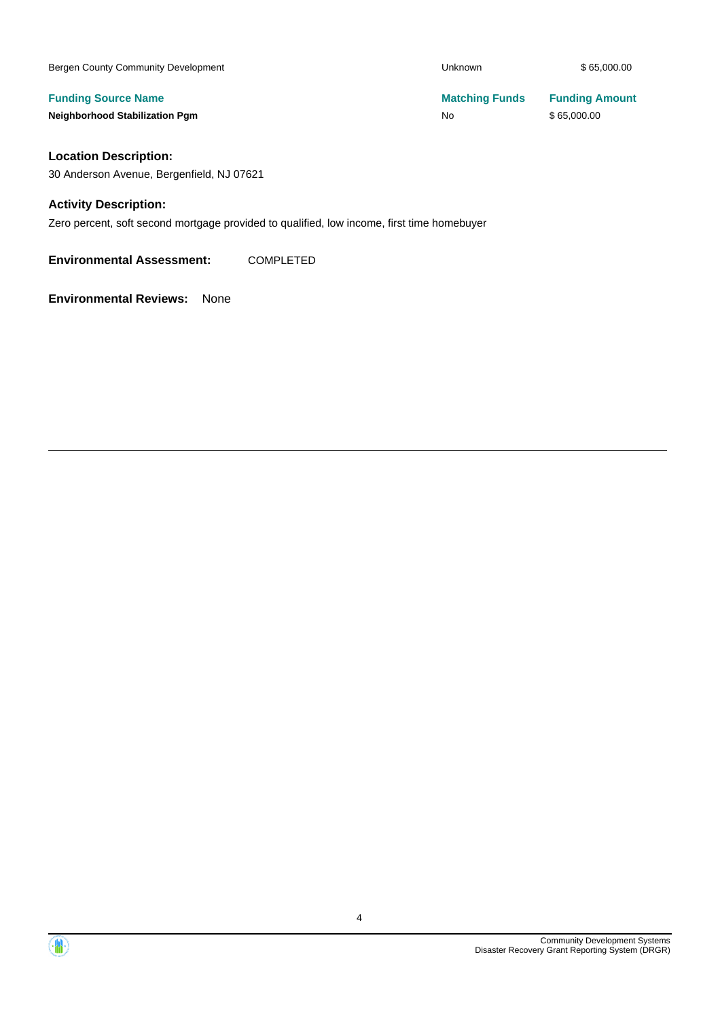| Bergen County Community Development   | <b>Unknown</b>        | \$65,000.00           |
|---------------------------------------|-----------------------|-----------------------|
| <b>Funding Source Name</b>            | <b>Matching Funds</b> | <b>Funding Amount</b> |
| <b>Neighborhood Stabilization Pgm</b> | <b>No</b>             | \$65,000.00           |
| <b>Location Description:</b>          |                       |                       |

30 Anderson Avenue, Bergenfield, NJ 07621

#### **Activity Description:**

Zero percent, soft second mortgage provided to qualified, low income, first time homebuyer

**Environmental Assessment:** COMPLETED

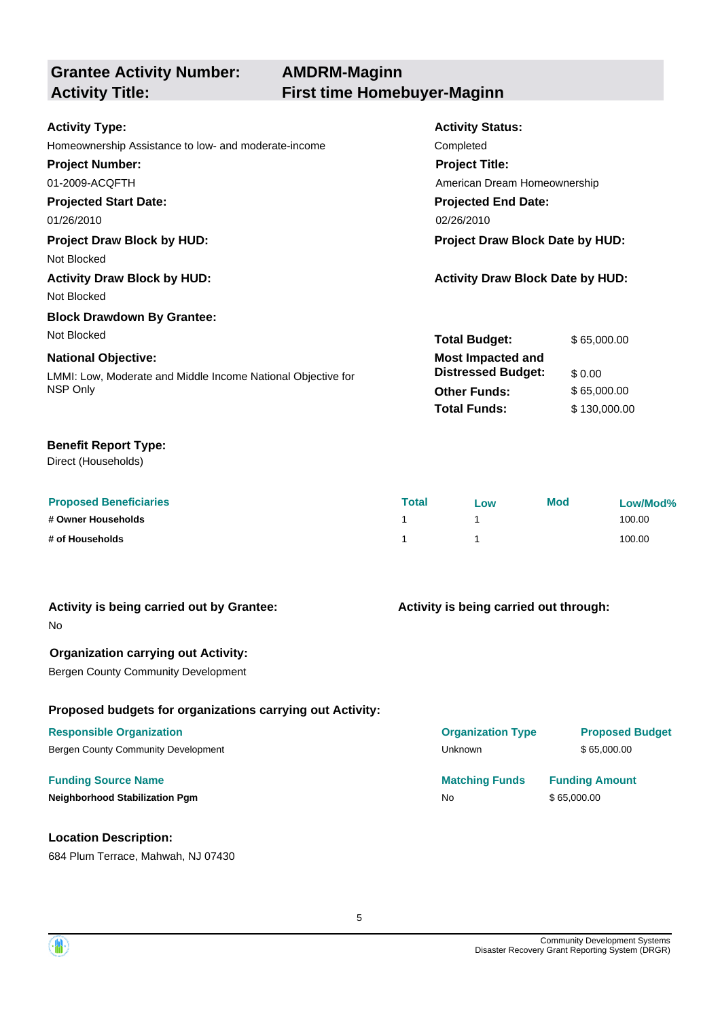# **Grantee Activity Number:**

### **AMDRM-Maginn Activity Title: First time Homebuyer-Maginn**

| <b>Activity Type:</b>                                        | <b>Activity Status:</b>                 |              |  |
|--------------------------------------------------------------|-----------------------------------------|--------------|--|
| Homeownership Assistance to low- and moderate-income         | Completed                               |              |  |
| <b>Project Number:</b>                                       | <b>Project Title:</b>                   |              |  |
| 01-2009-ACQFTH                                               | American Dream Homeownership            |              |  |
| <b>Projected Start Date:</b>                                 | <b>Projected End Date:</b>              |              |  |
| 01/26/2010                                                   | 02/26/2010                              |              |  |
| <b>Project Draw Block by HUD:</b>                            | Project Draw Block Date by HUD:         |              |  |
| Not Blocked                                                  |                                         |              |  |
| <b>Activity Draw Block by HUD:</b>                           | <b>Activity Draw Block Date by HUD:</b> |              |  |
| Not Blocked                                                  |                                         |              |  |
| <b>Block Drawdown By Grantee:</b>                            |                                         |              |  |
| Not Blocked                                                  | <b>Total Budget:</b>                    | \$65,000.00  |  |
| <b>National Objective:</b>                                   | <b>Most Impacted and</b>                |              |  |
| LMMI: Low, Moderate and Middle Income National Objective for | <b>Distressed Budget:</b>               | \$0.00       |  |
| NSP Only                                                     | <b>Other Funds:</b>                     | \$65,000.00  |  |
|                                                              | <b>Total Funds:</b>                     | \$130,000.00 |  |

#### **Benefit Report Type:**

Direct (Households)

| <b>Proposed Beneficiaries</b> | <b>Total</b> | Low | <b>Mod</b> | Low/Mod% |
|-------------------------------|--------------|-----|------------|----------|
| # Owner Households            |              |     |            | 100.00   |
| # of Households               |              |     |            | 100.00   |

| Activity is being carried out by Grantee:<br><b>No</b>    | Activity is being carried out through: |                        |  |
|-----------------------------------------------------------|----------------------------------------|------------------------|--|
| <b>Organization carrying out Activity:</b>                |                                        |                        |  |
| <b>Bergen County Community Development</b>                |                                        |                        |  |
| Proposed budgets for organizations carrying out Activity: |                                        |                        |  |
| <b>Responsible Organization</b>                           | <b>Organization Type</b>               | <b>Proposed Budget</b> |  |
| Bergen County Community Development                       | <b>Unknown</b>                         | \$65,000.00            |  |
| <b>Funding Source Name</b>                                | <b>Matching Funds</b>                  | <b>Funding Amount</b>  |  |
| <b>Neighborhood Stabilization Pgm</b>                     | <b>No</b>                              | \$65,000.00            |  |
| <b>Location Description:</b>                              |                                        |                        |  |

684 Plum Terrace, Mahwah, NJ 07430

5

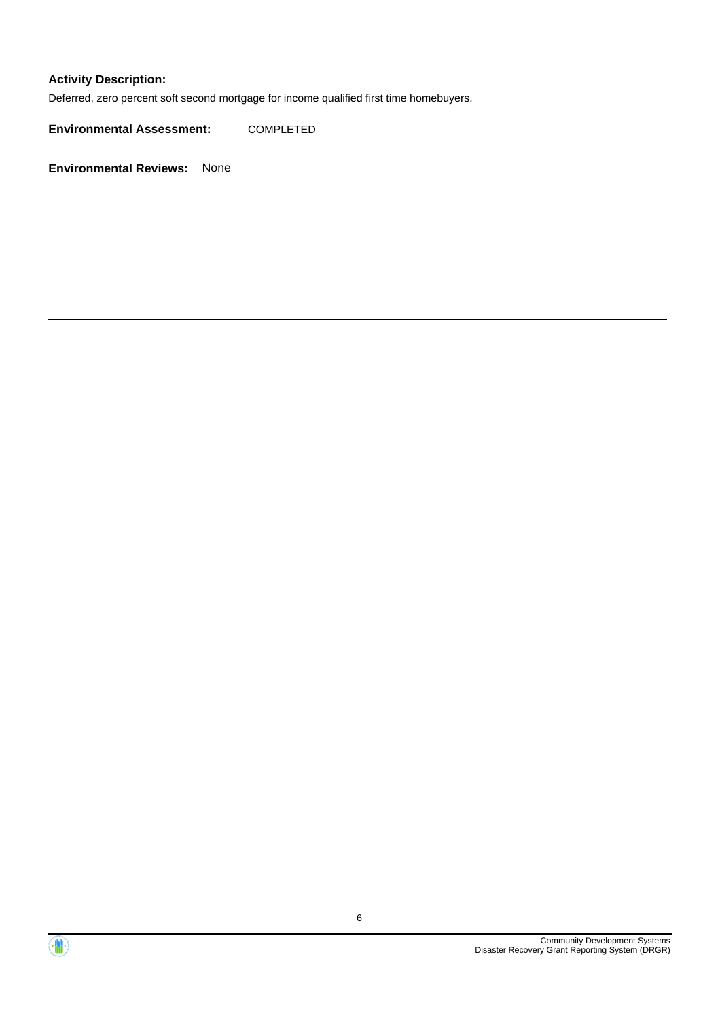#### **Activity Description:**

Deferred, zero percent soft second mortgage for income qualified first time homebuyers.

**Environmental Assessment:** COMPLETED



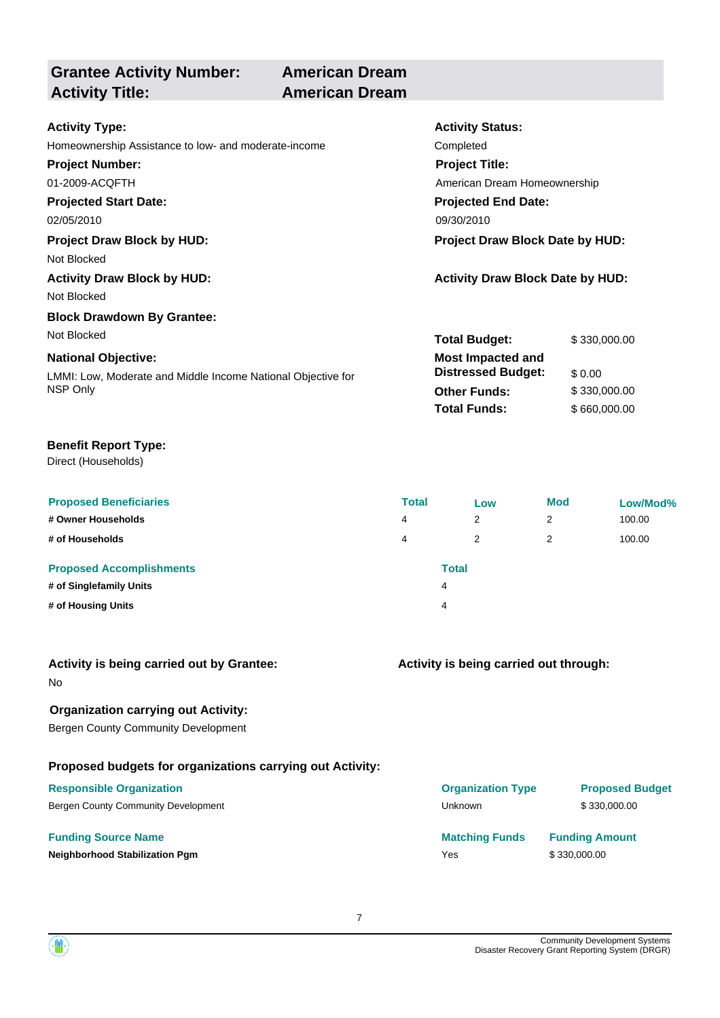**Grantee Activity Number: Activity Title: American Dream**

# **American Dream**

| <b>Activity Type:</b>                                        | <b>Activity Status:</b>                 |              |  |
|--------------------------------------------------------------|-----------------------------------------|--------------|--|
| Homeownership Assistance to low- and moderate-income         | Completed                               |              |  |
| <b>Project Number:</b>                                       | <b>Project Title:</b>                   |              |  |
| 01-2009-ACQFTH                                               | American Dream Homeownership            |              |  |
| <b>Projected Start Date:</b>                                 | <b>Projected End Date:</b>              |              |  |
| 02/05/2010                                                   | 09/30/2010                              |              |  |
| <b>Project Draw Block by HUD:</b>                            | <b>Project Draw Block Date by HUD:</b>  |              |  |
| Not Blocked                                                  |                                         |              |  |
| <b>Activity Draw Block by HUD:</b>                           | <b>Activity Draw Block Date by HUD:</b> |              |  |
| Not Blocked                                                  |                                         |              |  |
| <b>Block Drawdown By Grantee:</b>                            |                                         |              |  |
| Not Blocked                                                  | <b>Total Budget:</b>                    | \$330,000.00 |  |
| <b>National Objective:</b>                                   | <b>Most Impacted and</b>                |              |  |
| LMMI: Low, Moderate and Middle Income National Objective for | <b>Distressed Budget:</b>               | \$0.00       |  |
| NSP Only                                                     | <b>Other Funds:</b>                     | \$330,000.00 |  |
|                                                              | <b>Total Funds:</b>                     | \$660,000.00 |  |
|                                                              |                                         |              |  |

#### **Benefit Report Type:**

Direct (Households)

| <b>Proposed Beneficiaries</b>   | <b>Total</b> |              | Low | <b>Mod</b> | Low/Mod% |
|---------------------------------|--------------|--------------|-----|------------|----------|
| # Owner Households              | 4            |              | 2   | 2          | 100.00   |
| # of Households                 | 4            |              | 2   | 2          | 100.00   |
| <b>Proposed Accomplishments</b> |              | <b>Total</b> |     |            |          |
| # of Singlefamily Units         |              | 4            |     |            |          |
| # of Housing Units              |              | 4            |     |            |          |

| Activity is being carried out by Grantee: |  |
|-------------------------------------------|--|
| No                                        |  |

#### **Organization carrying out Activity:**

Bergen County Community Development

#### **Proposed budgets for organizations carrying out Activity:**

### **Funding Source Name Matching Funds Funding Amount Neighborhood Stabilization Pgm Yes** \$ 330,000.00 **Responsible Organization Organization Type Proposed Budget** Bergen County Community Development and the state of the Unknown S 330,000.00

**Activity is being carried out through:**

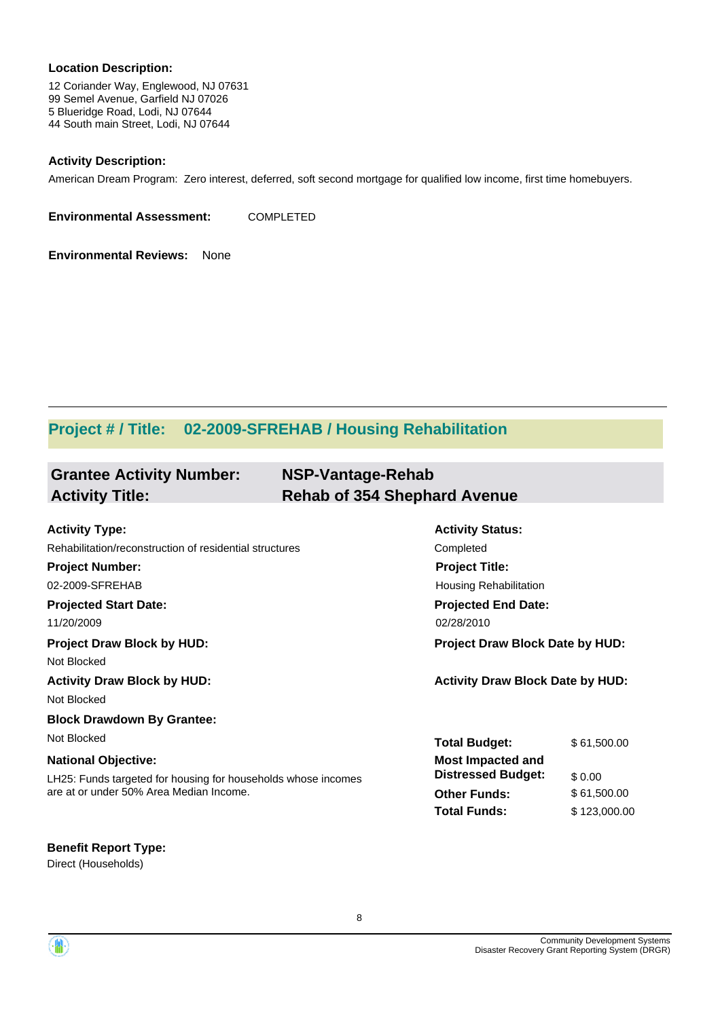#### **Location Description:**

12 Coriander Way, Englewood, NJ 07631 99 Semel Avenue, Garfield NJ 07026 5 Blueridge Road, Lodi, NJ 07644 44 South main Street, Lodi, NJ 07644

#### **Activity Description:**

American Dream Program: Zero interest, deferred, soft second mortgage for qualified low income, first time homebuyers.

**Environmental Assessment:** COMPLETED

**Environmental Reviews:** None

### **Project # / Title: 02-2009-SFREHAB / Housing Rehabilitation**

| <b>Grantee Activity Number:</b> | NSP-Vantage-Rehab                   |
|---------------------------------|-------------------------------------|
| <b>Activity Title:</b>          | <b>Rehab of 354 Shephard Avenue</b> |

| <b>Activity Type:</b>                                         | <b>Activity Status:</b>                 |              |  |
|---------------------------------------------------------------|-----------------------------------------|--------------|--|
| Rehabilitation/reconstruction of residential structures       | Completed                               |              |  |
| <b>Project Number:</b>                                        | <b>Project Title:</b>                   |              |  |
| 02-2009-SFREHAB                                               | Housing Rehabilitation                  |              |  |
| <b>Projected Start Date:</b>                                  | <b>Projected End Date:</b>              |              |  |
| 11/20/2009                                                    | 02/28/2010                              |              |  |
| <b>Project Draw Block by HUD:</b>                             | <b>Project Draw Block Date by HUD:</b>  |              |  |
| Not Blocked                                                   |                                         |              |  |
| <b>Activity Draw Block by HUD:</b>                            | <b>Activity Draw Block Date by HUD:</b> |              |  |
| Not Blocked                                                   |                                         |              |  |
| <b>Block Drawdown By Grantee:</b>                             |                                         |              |  |
| Not Blocked                                                   | <b>Total Budget:</b>                    | \$61,500.00  |  |
| <b>National Objective:</b>                                    | <b>Most Impacted and</b>                |              |  |
| LH25: Funds targeted for housing for households whose incomes | <b>Distressed Budget:</b>               | \$0.00       |  |
| are at or under 50% Area Median Income.                       | <b>Other Funds:</b>                     | \$61,500.00  |  |
|                                                               | <b>Total Funds:</b>                     | \$123,000.00 |  |

#### **Benefit Report Type:**

Direct (Households)

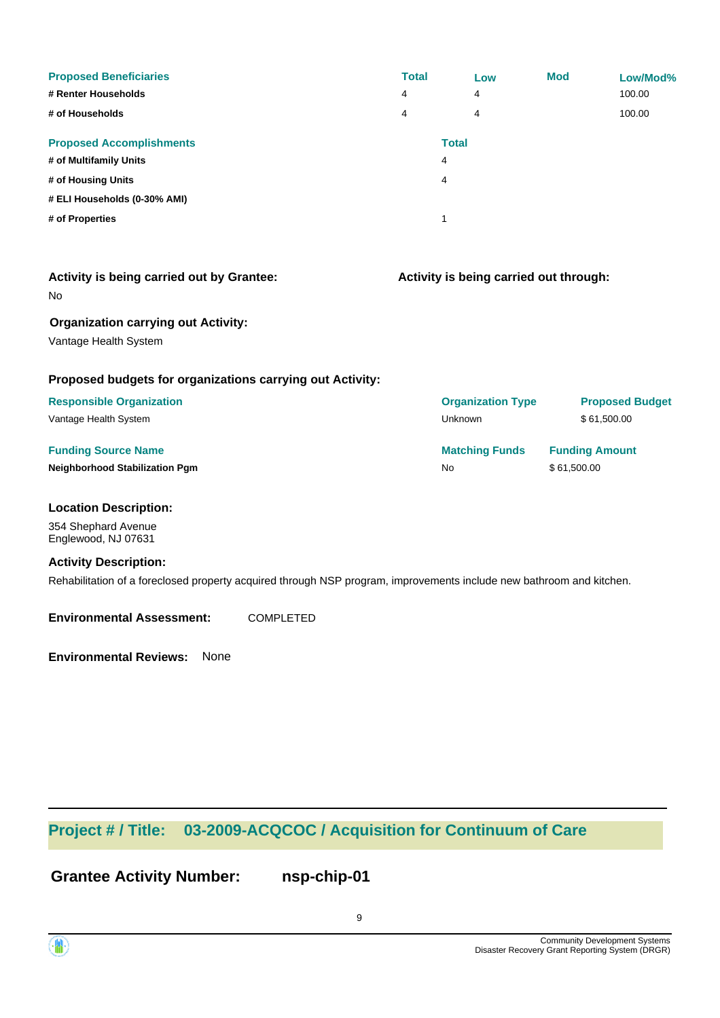| <b>Proposed Beneficiaries</b><br># Renter Households<br># of Households | <b>Total</b><br>4<br>4 | Low<br>4<br>4     | <b>Mod</b> | Low/Mod%<br>100.00<br>100.00 |
|-------------------------------------------------------------------------|------------------------|-------------------|------------|------------------------------|
| <b>Proposed Accomplishments</b><br># of Multifamily Units               |                        | <b>Total</b><br>4 |            |                              |
| # of Housing Units                                                      |                        | 4                 |            |                              |
| # ELI Households (0-30% AMI)<br># of Properties                         |                        | 1                 |            |                              |

| <b>Activity is being carried out by Grantee:</b><br>No    | Activity is being carried out through: |                        |  |
|-----------------------------------------------------------|----------------------------------------|------------------------|--|
| <b>Organization carrying out Activity:</b>                |                                        |                        |  |
| Vantage Health System                                     |                                        |                        |  |
| Proposed budgets for organizations carrying out Activity: |                                        |                        |  |
| <b>Responsible Organization</b>                           | <b>Organization Type</b>               | <b>Proposed Budget</b> |  |
| Vantage Health System                                     | Unknown                                | \$61,500.00            |  |
| <b>Funding Source Name</b>                                | <b>Matching Funds</b>                  | <b>Funding Amount</b>  |  |
| Neighborhood Stabilization Pgm                            | No                                     | \$61,500.00            |  |
| <b>Location Description:</b>                              |                                        |                        |  |
| 354 Shephard Avenue<br>Englewood, NJ 07631                |                                        |                        |  |
| <b>Activity Description:</b>                              |                                        |                        |  |
|                                                           |                                        |                        |  |

Rehabilitation of a foreclosed property acquired through NSP program, improvements include new bathroom and kitchen.

**Environmental Assessment:** COMPLETED

**Environmental Reviews:** None

### **Project # / Title: 03-2009-ACQCOC / Acquisition for Continuum of Care**

**Grantee Activity Number: nsp-chip-01**

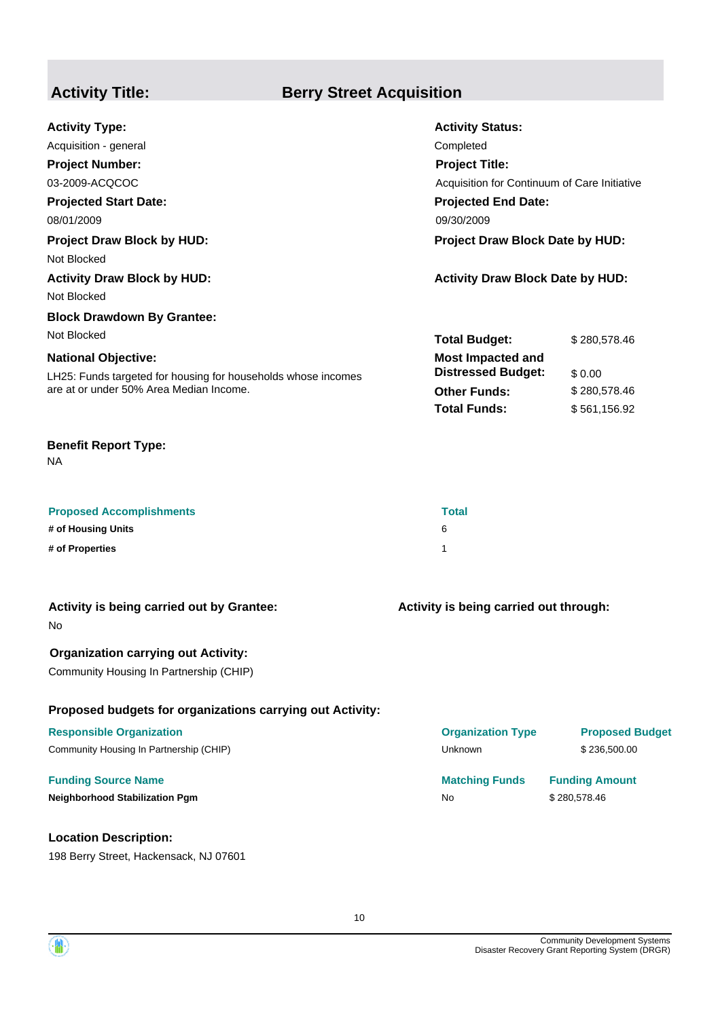### **Activity Title: Berry Street Acquisition**

| <b>Activity Type:</b>                                         | <b>Activity Status:</b>                      |              |  |
|---------------------------------------------------------------|----------------------------------------------|--------------|--|
| Acquisition - general                                         | Completed                                    |              |  |
| <b>Project Number:</b>                                        | <b>Project Title:</b>                        |              |  |
| 03-2009-ACQCOC                                                | Acquisition for Continuum of Care Initiative |              |  |
| <b>Projected Start Date:</b>                                  | <b>Projected End Date:</b>                   |              |  |
| 08/01/2009                                                    | 09/30/2009                                   |              |  |
| <b>Project Draw Block by HUD:</b>                             | <b>Project Draw Block Date by HUD:</b>       |              |  |
| Not Blocked                                                   |                                              |              |  |
| <b>Activity Draw Block by HUD:</b>                            | <b>Activity Draw Block Date by HUD:</b>      |              |  |
| Not Blocked                                                   |                                              |              |  |
| <b>Block Drawdown By Grantee:</b>                             |                                              |              |  |
| Not Blocked                                                   | <b>Total Budget:</b>                         | \$280,578.46 |  |
| <b>National Objective:</b>                                    | <b>Most Impacted and</b>                     |              |  |
| LH25: Funds targeted for housing for households whose incomes | <b>Distressed Budget:</b>                    | \$0.00       |  |
| are at or under 50% Area Median Income.                       | <b>Other Funds:</b>                          | \$280,578.46 |  |
|                                                               | <b>Total Funds:</b>                          | \$561,156.92 |  |
|                                                               |                                              |              |  |

#### **Benefit Report Type:**

NA

| <b>Proposed Accomplishments</b> | <b>Total</b> |
|---------------------------------|--------------|
| # of Housing Units              | 6            |
| # of Properties                 |              |

| Activity is being carried out by Grantee:<br>No.                                      | Activity is being carried out through: |                        |  |
|---------------------------------------------------------------------------------------|----------------------------------------|------------------------|--|
| <b>Organization carrying out Activity:</b><br>Community Housing In Partnership (CHIP) |                                        |                        |  |
| Proposed budgets for organizations carrying out Activity:                             |                                        |                        |  |
| <b>Responsible Organization</b>                                                       | <b>Organization Type</b>               | <b>Proposed Budget</b> |  |
| Community Housing In Partnership (CHIP)                                               | <b>Unknown</b>                         | \$236,500.00           |  |
| <b>Funding Source Name</b>                                                            | <b>Matching Funds</b>                  | <b>Funding Amount</b>  |  |
| <b>Neighborhood Stabilization Pgm</b>                                                 | <b>No</b>                              | \$280,578.46           |  |
|                                                                                       |                                        |                        |  |

#### **Location Description:**

198 Berry Street, Hackensack, NJ 07601

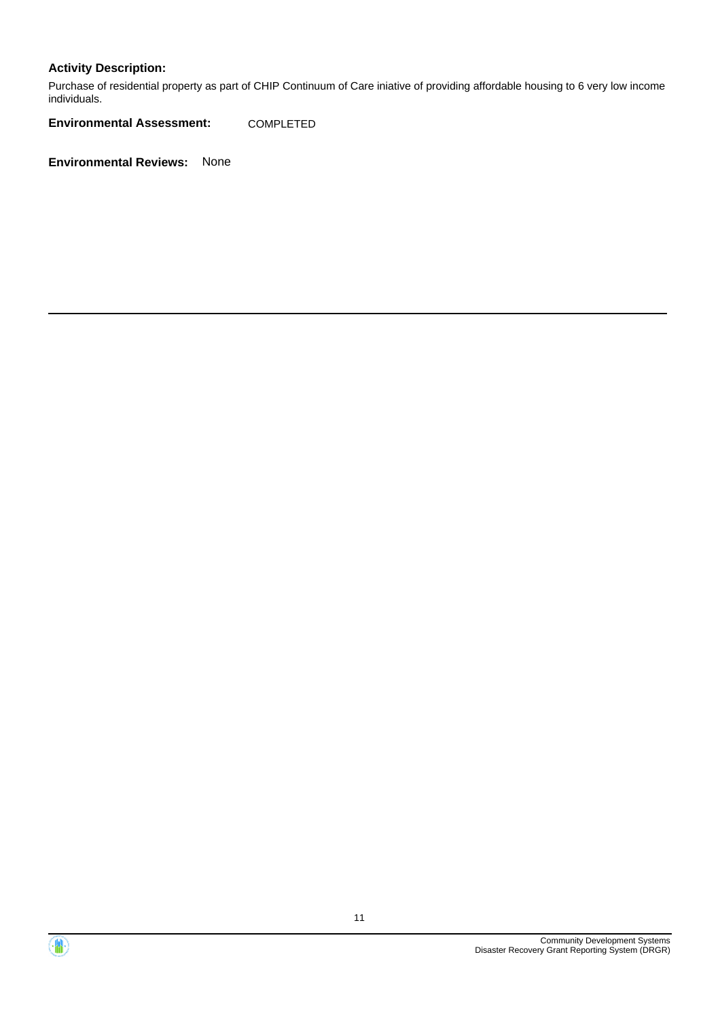#### **Activity Description:**

Purchase of residential property as part of CHIP Continuum of Care iniative of providing affordable housing to 6 very low income individuals.

**Environmental Assessment:** COMPLETED



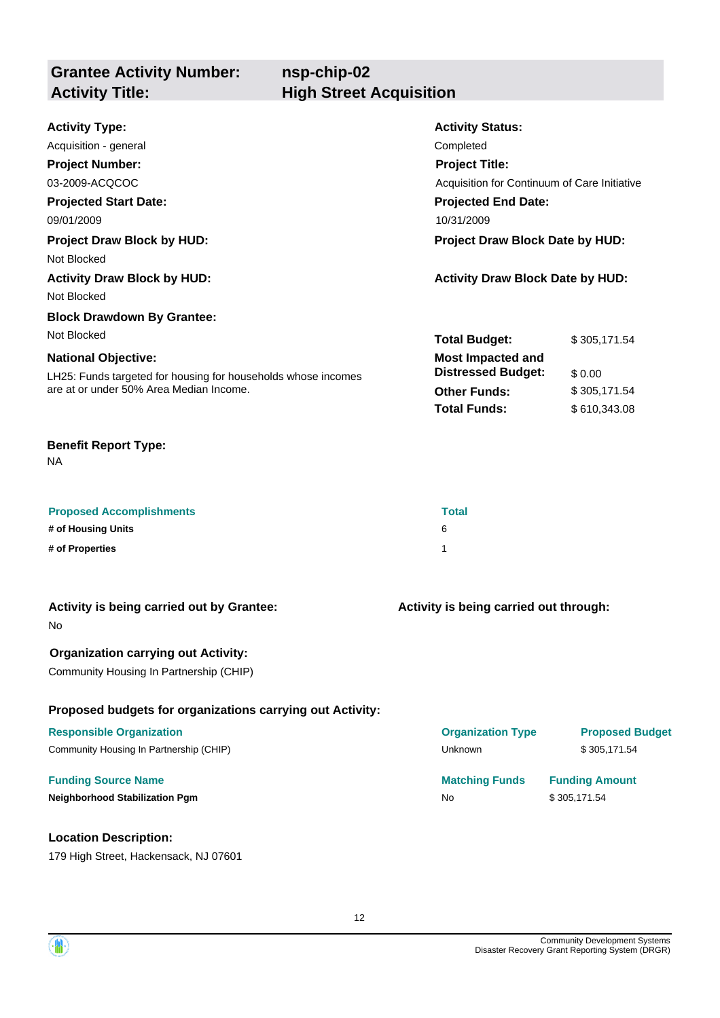### **Grantee Activity Number: Activity Title: High Street Acquisition**

# **nsp-chip-02**

| <b>Activity Type:</b>                                         | <b>Activity Status:</b>                      |              |  |
|---------------------------------------------------------------|----------------------------------------------|--------------|--|
| Acquisition - general                                         | Completed                                    |              |  |
| <b>Project Number:</b>                                        | <b>Project Title:</b>                        |              |  |
| 03-2009-ACQCOC                                                | Acquisition for Continuum of Care Initiative |              |  |
| <b>Projected Start Date:</b>                                  | <b>Projected End Date:</b>                   |              |  |
| 09/01/2009                                                    | 10/31/2009                                   |              |  |
| <b>Project Draw Block by HUD:</b>                             | Project Draw Block Date by HUD:              |              |  |
| Not Blocked                                                   |                                              |              |  |
| <b>Activity Draw Block by HUD:</b>                            | <b>Activity Draw Block Date by HUD:</b>      |              |  |
| Not Blocked                                                   |                                              |              |  |
| <b>Block Drawdown By Grantee:</b>                             |                                              |              |  |
| Not Blocked                                                   | <b>Total Budget:</b>                         | \$305,171.54 |  |
| <b>National Objective:</b>                                    | <b>Most Impacted and</b>                     |              |  |
| LH25: Funds targeted for housing for households whose incomes | <b>Distressed Budget:</b>                    | \$0.00       |  |
| are at or under 50% Area Median Income.                       | <b>Other Funds:</b>                          | \$305,171.54 |  |
|                                                               | <b>Total Funds:</b>                          | \$610,343.08 |  |
|                                                               |                                              |              |  |

#### **Benefit Report Type:**

NA

| <b>Proposed Accomplishments</b> | <b>Total</b> |
|---------------------------------|--------------|
| # of Housing Units              | 6            |
| # of Properties                 |              |

| Activity is being carried out by Grantee:<br>No.          | Activity is being carried out through: |                        |  |
|-----------------------------------------------------------|----------------------------------------|------------------------|--|
| <b>Organization carrying out Activity:</b>                |                                        |                        |  |
| Community Housing In Partnership (CHIP)                   |                                        |                        |  |
| Proposed budgets for organizations carrying out Activity: |                                        |                        |  |
| <b>Responsible Organization</b>                           | <b>Organization Type</b>               | <b>Proposed Budget</b> |  |
| Community Housing In Partnership (CHIP)                   | <b>Unknown</b>                         | \$305.171.54           |  |
| <b>Funding Source Name</b>                                | <b>Matching Funds</b>                  | <b>Funding Amount</b>  |  |
| <b>Neighborhood Stabilization Pgm</b>                     | <b>No</b>                              | \$305,171.54           |  |
|                                                           |                                        |                        |  |

#### **Location Description:**

179 High Street, Hackensack, NJ 07601

Community Development Systems Disaster Recovery Grant Reporting System (DRGR)

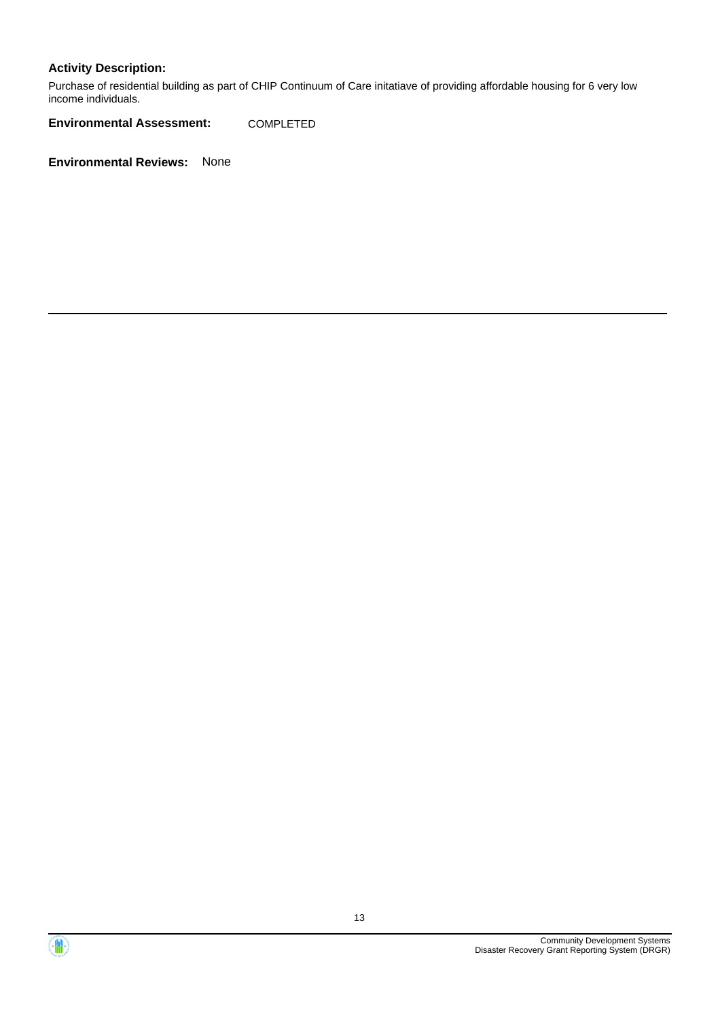#### **Activity Description:**

Purchase of residential building as part of CHIP Continuum of Care initatiave of providing affordable housing for 6 very low income individuals.

**Environmental Assessment:** COMPLETED



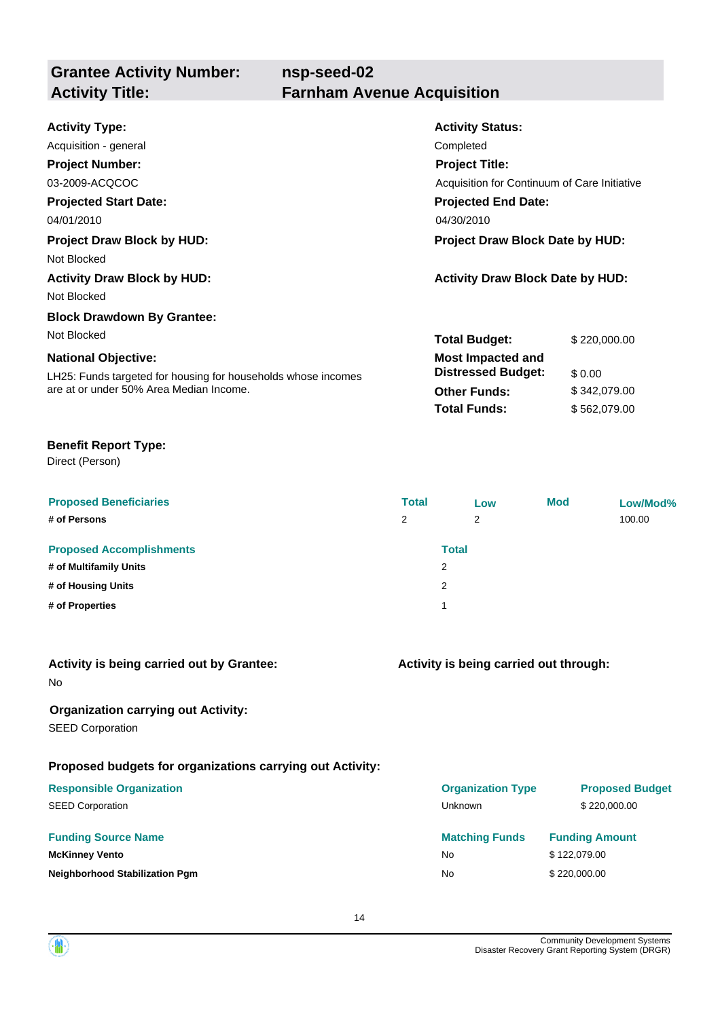| <b>Grantee Activity Number:</b><br><b>Activity Title:</b>                                                                              | nsp-seed-02<br><b>Farnham Avenue Acquisition</b>                                                    |                                              |
|----------------------------------------------------------------------------------------------------------------------------------------|-----------------------------------------------------------------------------------------------------|----------------------------------------------|
| <b>Activity Type:</b><br>Acquisition - general<br><b>Project Number:</b><br>03-2009-ACQCOC                                             | <b>Activity Status:</b><br>Completed<br><b>Project Title:</b>                                       | Acquisition for Continuum of Care Initiative |
| <b>Projected Start Date:</b><br>04/01/2010                                                                                             | <b>Projected End Date:</b><br>04/30/2010                                                            |                                              |
| <b>Project Draw Block by HUD:</b><br>Not Blocked<br><b>Activity Draw Block by HUD:</b>                                                 | <b>Project Draw Block Date by HUD:</b><br><b>Activity Draw Block Date by HUD:</b>                   |                                              |
| Not Blocked<br><b>Block Drawdown By Grantee:</b><br>Not Blocked                                                                        | <b>Total Budget:</b>                                                                                | \$220,000.00                                 |
| <b>National Objective:</b><br>LH25: Funds targeted for housing for households whose incomes<br>are at or under 50% Area Median Income. | <b>Most Impacted and</b><br><b>Distressed Budget:</b><br><b>Other Funds:</b><br><b>Total Funds:</b> | \$0.00<br>\$342,079.00<br>\$562,079.00       |
|                                                                                                                                        |                                                                                                     |                                              |

#### **Benefit Report Type:**

Direct (Person)

| <b>Proposed Beneficiaries</b><br># of Persons             | <b>Total</b><br>2 | Low<br>2          | <b>Mod</b> | Low/Mod%<br>100.00 |
|-----------------------------------------------------------|-------------------|-------------------|------------|--------------------|
| <b>Proposed Accomplishments</b><br># of Multifamily Units |                   | <b>Total</b><br>2 |            |                    |
| # of Housing Units                                        |                   | 2                 |            |                    |
| # of Properties                                           |                   | 1                 |            |                    |

|    |  |  | Activity is being carried out by Grantee: |
|----|--|--|-------------------------------------------|
| No |  |  |                                           |

#### **Organization carrying out Activity:**

SEED Corporation

#### **Proposed budgets for organizations carrying out Activity:**

| <b>Responsible Organization</b>       | <b>Organization Type</b> | <b>Proposed Budget</b> |
|---------------------------------------|--------------------------|------------------------|
| <b>SEED Corporation</b>               | <b>Unknown</b>           | \$220,000.00           |
| <b>Funding Source Name</b>            | <b>Matching Funds</b>    | <b>Funding Amount</b>  |
| <b>McKinney Vento</b>                 | No                       | \$122,079.00           |
| <b>Neighborhood Stabilization Pgm</b> | No                       | \$220,000,00           |

**Activity is being carried out through:**

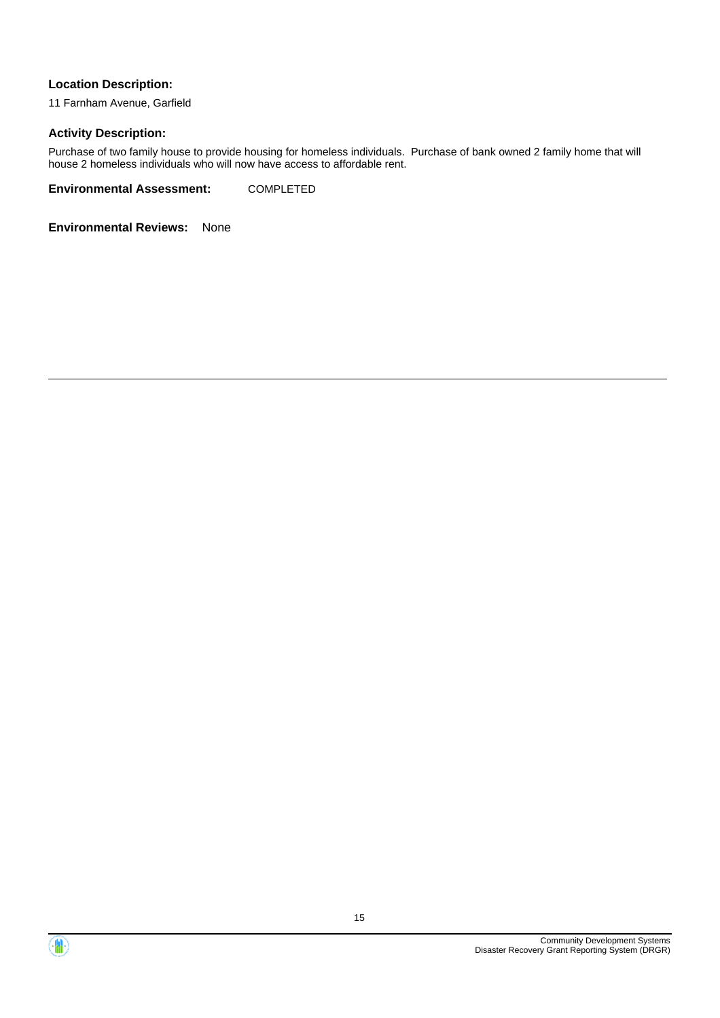#### **Location Description:**

11 Farnham Avenue, Garfield

#### **Activity Description:**

Purchase of two family house to provide housing for homeless individuals. Purchase of bank owned 2 family home that will house 2 homeless individuals who will now have access to affordable rent.

**Environmental Assessment:** COMPLETED



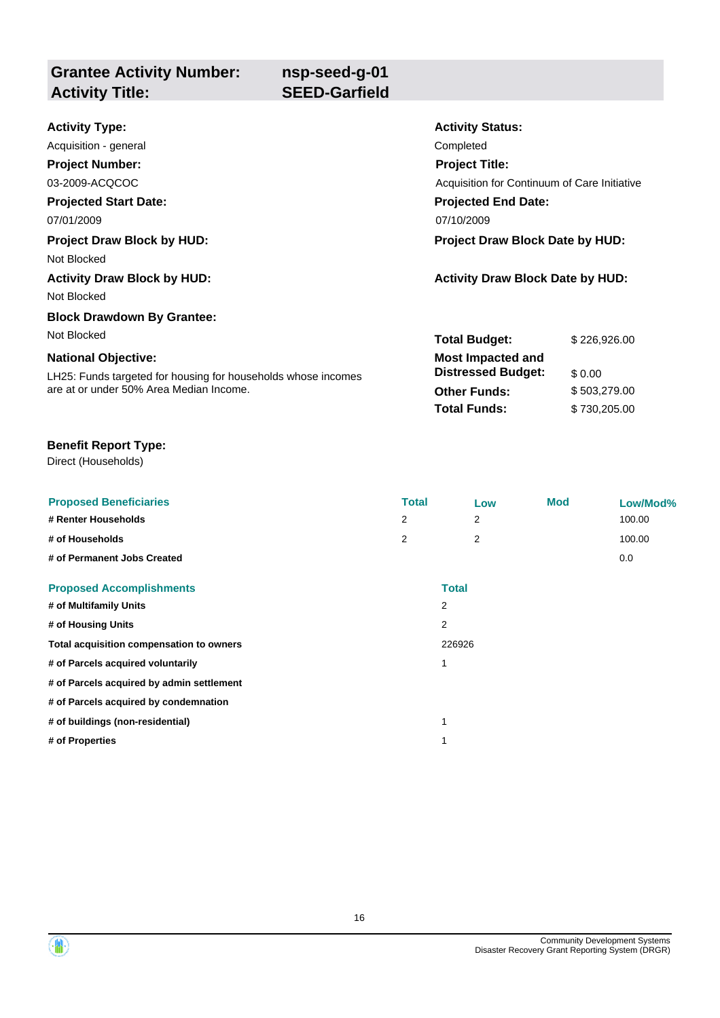| <b>Grantee Activity Number:</b><br><b>Activity Title:</b> | nsp-seed-g-01<br><b>SEED-Garfield</b> |                                              |
|-----------------------------------------------------------|---------------------------------------|----------------------------------------------|
|                                                           |                                       |                                              |
| <b>Activity Type:</b>                                     |                                       | <b>Activity Status:</b>                      |
| Acquisition - general                                     |                                       | Completed                                    |
| <b>Project Number:</b>                                    |                                       | <b>Project Title:</b>                        |
| 03-2009-ACQCOC                                            |                                       | Acquisition for Continuum of Care Initiative |
| <b>Projected Start Date:</b>                              |                                       | <b>Projected End Date:</b>                   |
| 07/01/2009                                                |                                       | 07/10/2009                                   |

#### **Project Draw Block by HUD: Project Draw Block Date by HUD:**

Not Blocked

Not Blocked

### **Block Drawdown By Grantee:**

Not Blocked

#### **National Objective:**

LH25: Funds targeted for housing for households whose incomes are at or under 50% Area Median Income.

**Activity Draw Block by HUD: Activity Draw Block Date by HUD:**

| <b>Total Budget:</b>                                  | \$226.926.00 |
|-------------------------------------------------------|--------------|
| <b>Most Impacted and</b><br><b>Distressed Budget:</b> | \$0.00       |
| Other Funds:                                          | \$503,279.00 |
| Total Funds:                                          | \$730,205.00 |

### **Benefit Report Type:**

Direct (Households)

| <b>Proposed Beneficiaries</b>             | <b>Total</b> |              | Low | <b>Mod</b> | Low/Mod% |
|-------------------------------------------|--------------|--------------|-----|------------|----------|
| # Renter Households                       | 2            |              | 2   |            | 100.00   |
| # of Households                           | 2            |              | 2   |            | 100.00   |
| # of Permanent Jobs Created               |              |              |     |            | 0.0      |
| <b>Proposed Accomplishments</b>           |              | <b>Total</b> |     |            |          |
| # of Multifamily Units                    |              | 2            |     |            |          |
| # of Housing Units                        |              | 2            |     |            |          |
| Total acquisition compensation to owners  |              | 226926       |     |            |          |
| # of Parcels acquired voluntarily         |              | 1            |     |            |          |
| # of Parcels acquired by admin settlement |              |              |     |            |          |
| # of Parcels acquired by condemnation     |              |              |     |            |          |
| # of buildings (non-residential)          |              | 1            |     |            |          |
| # of Properties                           |              | 1            |     |            |          |
|                                           |              |              |     |            |          |

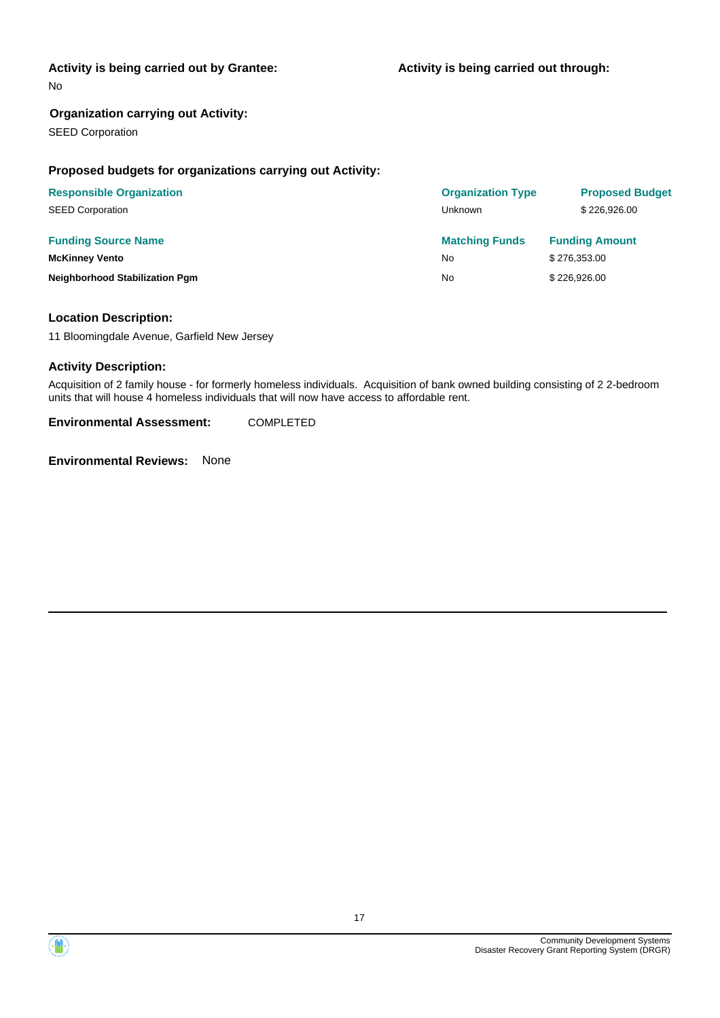#### **Activity is being carried out by Grantee:**

No

#### **Organization carrying out Activity:**

SEED Corporation

#### **Proposed budgets for organizations carrying out Activity:**

| <b>Responsible Organization</b>       | <b>Organization Type</b> | <b>Proposed Budget</b> |
|---------------------------------------|--------------------------|------------------------|
| <b>SEED Corporation</b>               | Unknown                  | \$226,926.00           |
| <b>Funding Source Name</b>            | <b>Matching Funds</b>    | <b>Funding Amount</b>  |
| <b>McKinney Vento</b>                 | <b>No</b>                | \$276,353.00           |
| <b>Neighborhood Stabilization Pgm</b> | No                       | \$226,926.00           |

#### **Location Description:**

11 Bloomingdale Avenue, Garfield New Jersey

#### **Activity Description:**

Acquisition of 2 family house - for formerly homeless individuals. Acquisition of bank owned building consisting of 2 2-bedroom units that will house 4 homeless individuals that will now have access to affordable rent.

**Environmental Assessment:** COMPLETED

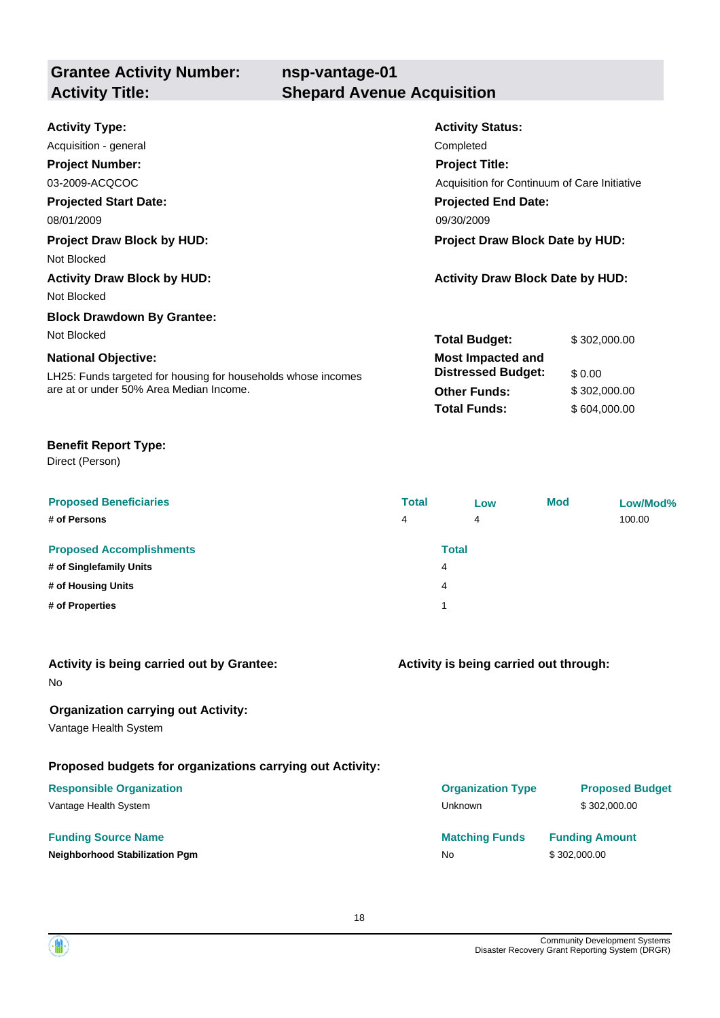| <b>Grantee Activity Number:</b><br><b>Activity Title:</b> | nsp-vantage-01<br><b>Shepard Avenue Acquisition</b> |  |
|-----------------------------------------------------------|-----------------------------------------------------|--|
| <b>Activity Type:</b>                                     | <b>Activity Status:</b>                             |  |
| Acquisition - general                                     | Completed                                           |  |

| 03-2009-ACQCOC                                                | Acquisition for Continuum of Care Initiative |              |
|---------------------------------------------------------------|----------------------------------------------|--------------|
| <b>Projected Start Date:</b>                                  | <b>Projected End Date:</b>                   |              |
| 08/01/2009                                                    | 09/30/2009                                   |              |
| <b>Project Draw Block by HUD:</b>                             | <b>Project Draw Block Date by HUD:</b>       |              |
| Not Blocked                                                   |                                              |              |
| <b>Activity Draw Block by HUD:</b>                            | <b>Activity Draw Block Date by HUD:</b>      |              |
| Not Blocked                                                   |                                              |              |
| <b>Block Drawdown By Grantee:</b>                             |                                              |              |
| Not Blocked                                                   | <b>Total Budget:</b>                         | \$302,000,00 |
| <b>National Objective:</b>                                    | <b>Most Impacted and</b>                     |              |
| LH25: Funds targeted for housing for households whose incomes | <b>Distressed Budget:</b>                    | \$0.00       |
| are at or under 50% Area Median Income.                       | <b>Other Funds:</b>                          | \$302,000.00 |
|                                                               | <b>Total Funds:</b>                          | \$604,000,00 |

#### **Benefit Report Type:**

Direct (Person)

**Project Number:**

| <b>Proposed Beneficiaries</b><br># of Persons              | <b>Total</b><br>4 | Low<br>4          | <b>Mod</b> | Low/Mod%<br>100.00 |
|------------------------------------------------------------|-------------------|-------------------|------------|--------------------|
| <b>Proposed Accomplishments</b><br># of Singlefamily Units |                   | <b>Total</b><br>4 |            |                    |
| # of Housing Units                                         |                   | 4                 |            |                    |
| # of Properties                                            |                   | 1                 |            |                    |

#### **Activity is being carried out by Grantee:**

No

#### **Organization carrying out Activity:**

Vantage Health System

#### **Proposed budgets for organizations carrying out Activity:**

#### **Responsible Organization**

Vantage Health System

#### **Funding Source Name**

**Neighborhood Stabilization Pgm** 

### **Activity is being carried out through:**

**Project Title:**

| <b>Organization Type</b><br>Unknown | <b>Proposed Budget</b><br>\$302,000.00 |
|-------------------------------------|----------------------------------------|
| <b>Matching Funds</b>               | <b>Funding Amount</b>                  |
| N٥                                  | \$302,000.00                           |

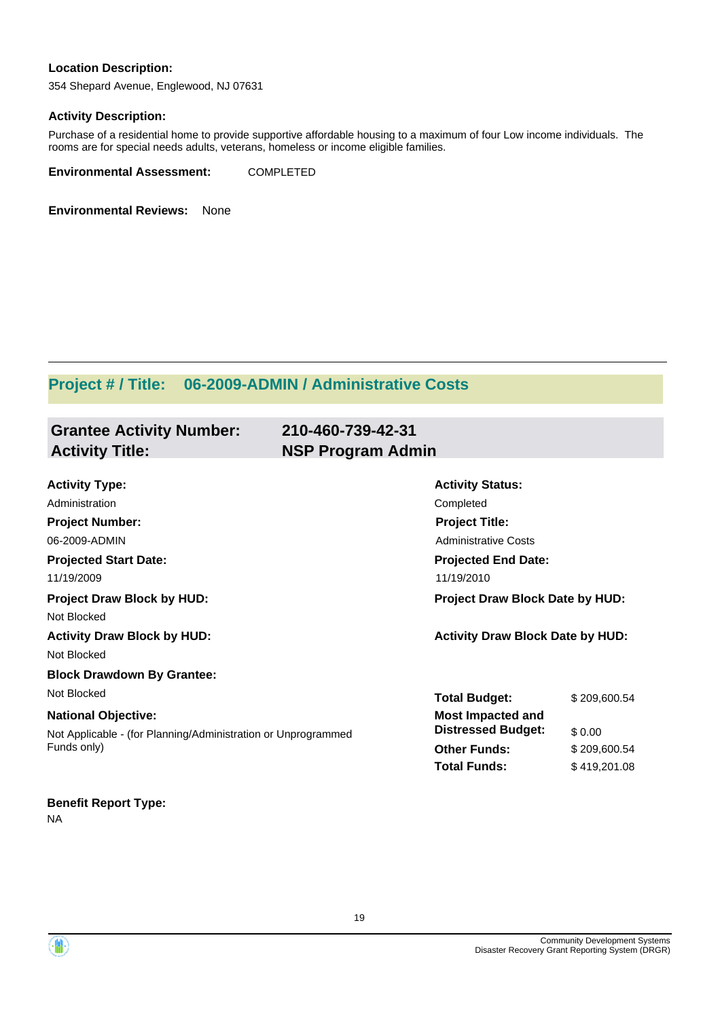#### **Location Description:**

354 Shepard Avenue, Englewood, NJ 07631

#### **Activity Description:**

Purchase of a residential home to provide supportive affordable housing to a maximum of four Low income individuals. The rooms are for special needs adults, veterans, homeless or income eligible families.

**Environmental Assessment:** COMPLETED

**Environmental Reviews:** None

### **Project # / Title: 06-2009-ADMIN / Administrative Costs**

| <b>Grantee Activity Number:</b>                                              | 210-460-739-42-31           |                                         |  |  |
|------------------------------------------------------------------------------|-----------------------------|-----------------------------------------|--|--|
| <b>Activity Title:</b>                                                       | <b>NSP Program Admin</b>    |                                         |  |  |
|                                                                              |                             |                                         |  |  |
| <b>Activity Type:</b>                                                        | <b>Activity Status:</b>     |                                         |  |  |
| Administration                                                               | Completed                   |                                         |  |  |
| <b>Project Number:</b>                                                       | <b>Project Title:</b>       |                                         |  |  |
| 06-2009-ADMIN                                                                | <b>Administrative Costs</b> |                                         |  |  |
| <b>Projected Start Date:</b>                                                 | <b>Projected End Date:</b>  |                                         |  |  |
| 11/19/2009                                                                   | 11/19/2010                  |                                         |  |  |
| <b>Project Draw Block by HUD:</b>                                            |                             | <b>Project Draw Block Date by HUD:</b>  |  |  |
| Not Blocked                                                                  |                             |                                         |  |  |
| <b>Activity Draw Block by HUD:</b>                                           |                             | <b>Activity Draw Block Date by HUD:</b> |  |  |
| Not Blocked                                                                  |                             |                                         |  |  |
| <b>Block Drawdown By Grantee:</b>                                            |                             |                                         |  |  |
| Not Blocked                                                                  | <b>Total Budget:</b>        | \$209,600.54                            |  |  |
| <b>National Objective:</b>                                                   | <b>Most Impacted and</b>    |                                         |  |  |
| Not Applicable - (for Planning/Administration or Unprogrammed<br>Funds only) | <b>Distressed Budget:</b>   | \$0.00                                  |  |  |
|                                                                              | <b>Other Funds:</b>         | \$209,600.54                            |  |  |
|                                                                              | <b>Total Funds:</b>         | \$419,201.08                            |  |  |
|                                                                              |                             |                                         |  |  |

#### **Benefit Report Type:**

NA

Community Development Systems Disaster Recovery Grant Reporting System (DRGR)

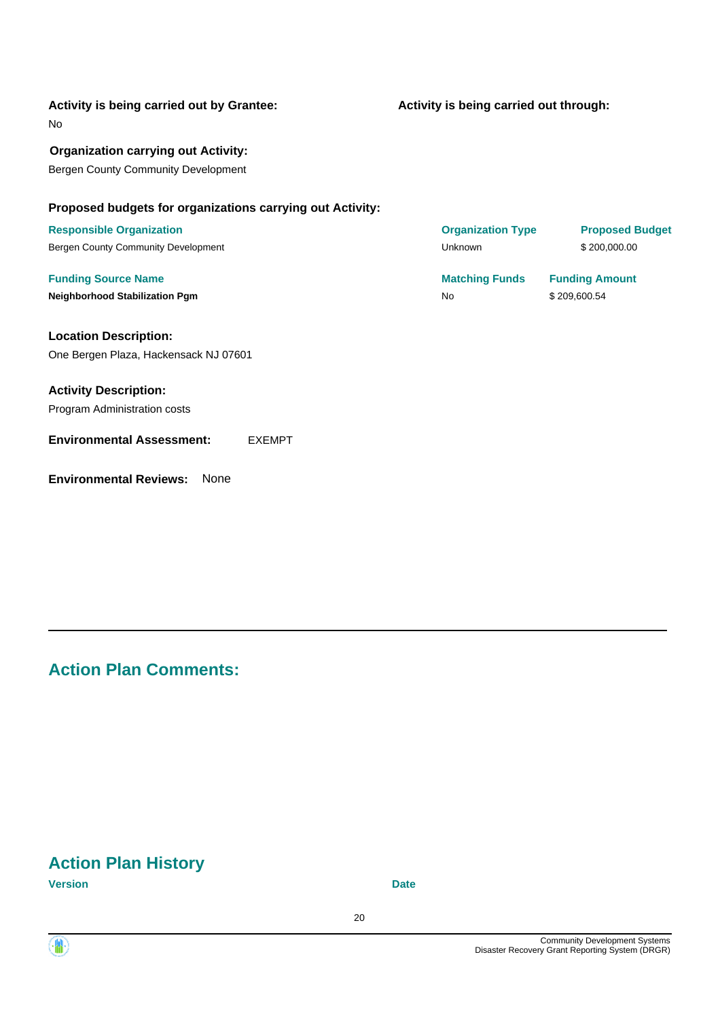| Activity is being carried out by Grantee: |  |  |
|-------------------------------------------|--|--|
| No                                        |  |  |

**Organization carrying out Activity:** Bergen County Community Development

#### **Proposed budgets for organizations carrying out Activity:**

**Location Description:** One Bergen Plaza, Hackensack NJ 07601

**Activity Description:** Program Administration costs

#### **Environmental Assessment:** EXEMPT

**Environmental Reviews:** None

**Activity is being carried out through:**

**Responsible Organization CONSERVIRGHT CONSERVIRGHT CONSERVIRGHT CONSERVIRGHT CONSERVIRGHT CONSERVIRGHT CONSERVIRGHT CONSERVIRGHT CONSERVIRGHT CONSERVIRGHT CONSERVIRGHT CONSERVIRGHT CONSERVIRGHT CONSERVIRGHT CONSERVIRGHT** Bergen County Community Development National County Community Development National County Community Development

**Funding Source Name Matching Funds Funding Amount Neighborhood Stabilization Pgm**  $$209,600.54$ 

### **Action Plan Comments:**

### **Action Plan History**

**Version Date**